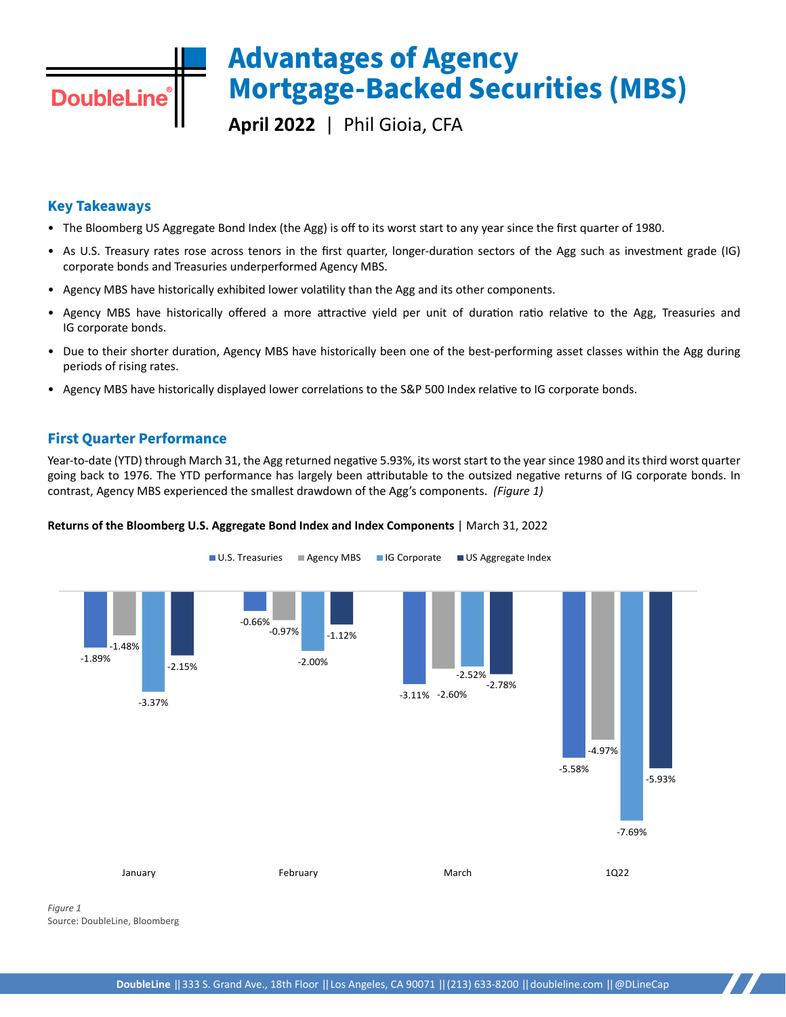# **Advantages of Agency Mortgage-Backed Securities (MBS)**

**April 2022** | Phil Gioia, CFA

### **Key Takeaways**

**DoubleLine** 

- The Bloomberg US Aggregate Bond Index (the Agg) is off to its worst start to any year since the first quarter of 1980.
- As U.S. Treasury rates rose across tenors in the first quarter, longer-duration sectors of the Agg such as investment grade (IG) corporate bonds and Treasuries underperformed Agency MBS.
- Agency MBS have historically exhibited lower volatility than the Agg and its other components.
- Agency MBS have historically offered a more attractive yield per unit of duration ratio relative to the Agg, Treasuries and IG corporate bonds.
- Due to their shorter duration, Agency MBS have historically been one of the best-performing asset classes within the Agg during periods of rising rates.
- Agency MBS have historically displayed lower correlations to the S&P 500 Index relative to IG corporate bonds.

### **First Quarter Performance**

Year-to-date (YTD) through March 31, the Agg returned negative 5.93%, its worst start to the year since 1980 and its third worst quarter going back to 1976. The YTD performance has largely been attributable to the outsized negative returns of IG corporate bonds. In contrast, Agency MBS experienced the smallest drawdown of the Agg's components. *(Figure 1)*



### **Returns of the Bloomberg U.S. Aggregate Bond Index and Index Components** | March 31, 2022

*Figure 1* Source: DoubleLine, Bloomberg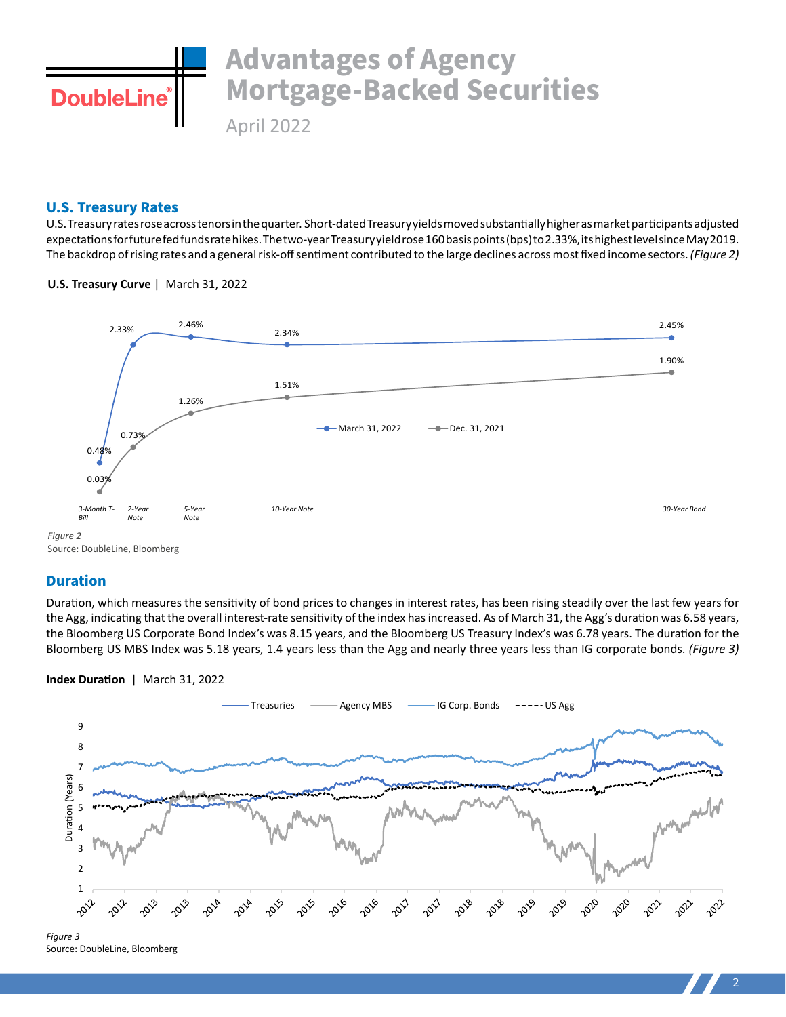

### **U.S. Treasury Rates**

U.S. Treasury rates rose across tenors in the quarter. Short-dated Treasury yields moved substantially higher as market participants adjusted expectations for future fed funds rate hikes. The two-year Treasury yield rose 160 basis points (bps) to 2.33%, its highest level since May 2019. The backdrop of rising rates and a general risk-off sentiment contributed to the large declines across most fixed income sectors. *(Figure 2)*

### **U.S. Treasury Curve** |March 31, 2022



### **Duration**

Duration, which measures the sensitivity of bond prices to changes in interest rates, has been rising steadily over the last few years for the Agg, indicating that the overall interest-rate sensitivity of the index has increased. As of March 31, the Agg's duration was 6.58 years, the Bloomberg US Corporate Bond Index's was 8.15 years, and the Bloomberg US Treasury Index's was 6.78 years. The duration for the Bloomberg US MBS Index was 5.18 years, 1.4 years less than the Agg and nearly three years less than IG corporate bonds. *(Figure 3)*

**Index Duration** |March 31, 2022



Source: DoubleLine, Bloomberg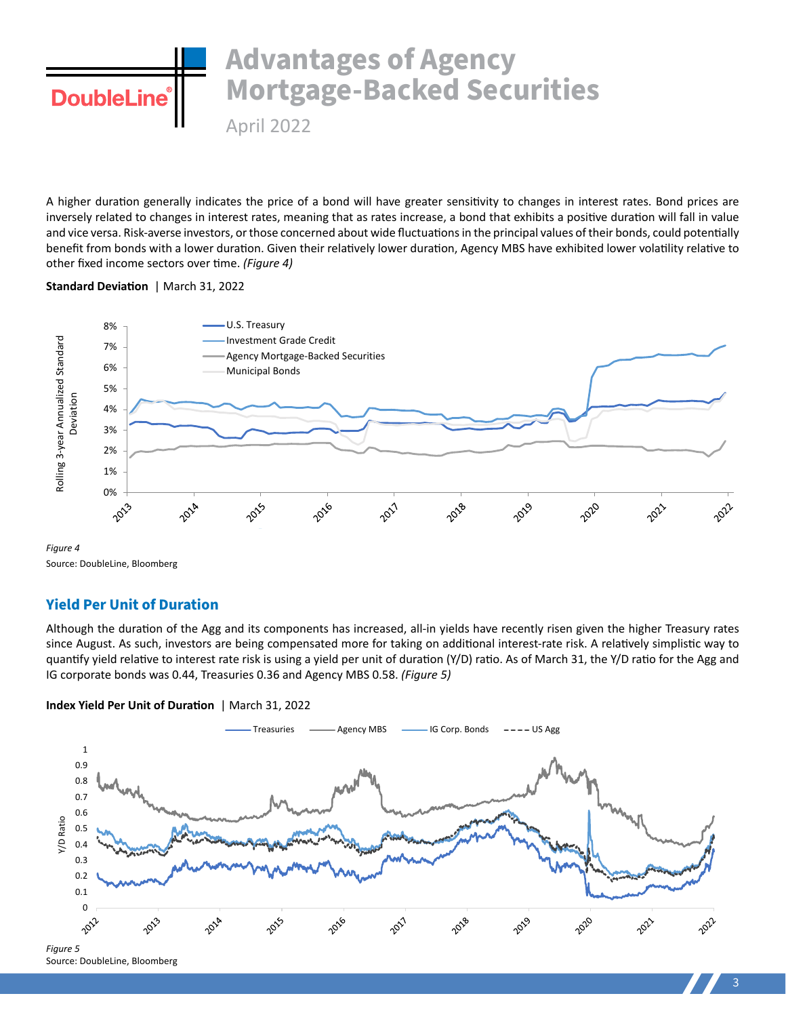## **Advantages of Agency Mortgage-Backed Securities DoubleLine** April 2022

A higher duration generally indicates the price of a bond will have greater sensitivity to changes in interest rates. Bond prices are inversely related to changes in interest rates, meaning that as rates increase, a bond that exhibits a positive duration will fall in value and vice versa. Risk-averse investors, or those concerned about wide fluctuations in the principal values of their bonds, could potentially benefit from bonds with a lower duration. Given their relatively lower duration, Agency MBS have exhibited lower volatility relative to other fixed income sectors over time. *(Figure 4)*

### **Standard Deviation** | March 31, 2022



*Figure 4* Source: DoubleLine, Bloomberg

### **Yield Per Unit of Duration**

Although the duration of the Agg and its components has increased, all-in yields have recently risen given the higher Treasury rates since August. As such, investors are being compensated more for taking on additional interest-rate risk. A relatively simplistic way to quantify yield relative to interest rate risk is using a yield per unit of duration (Y/D) ratio. As of March 31, the Y/D ratio for the Agg and IG corporate bonds was 0.44, Treasuries 0.36 and Agency MBS 0.58. *(Figure 5)* 



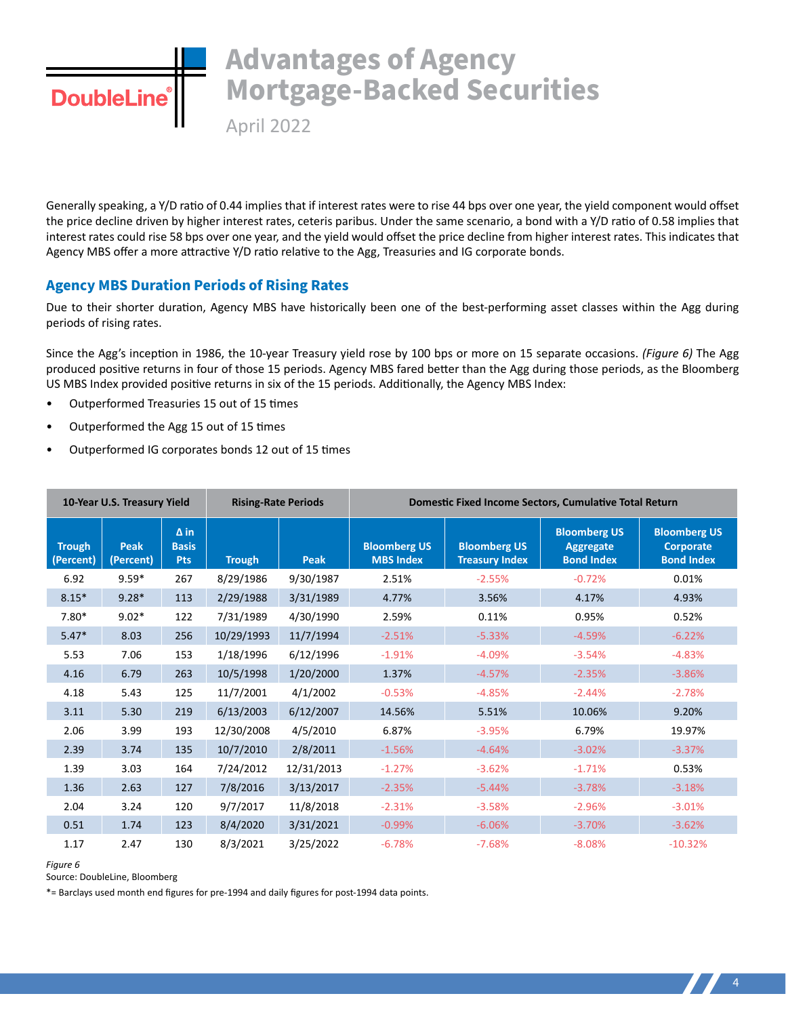## **Advantages of Agency Mortgage-Backed Securities DoubleLin**

April 2022

Generally speaking, a Y/D ratio of 0.44 implies that if interest rates were to rise 44 bps over one year, the yield component would offset the price decline driven by higher interest rates, ceteris paribus. Under the same scenario, a bond with a Y/D ratio of 0.58 implies that interest rates could rise 58 bps over one year, and the yield would offset the price decline from higher interest rates. This indicates that Agency MBS offer a more attractive Y/D ratio relative to the Agg, Treasuries and IG corporate bonds.

### **Agency MBS Duration Periods of Rising Rates**

Due to their shorter duration, Agency MBS have historically been one of the best-performing asset classes within the Agg during periods of rising rates.

Since the Agg's inception in 1986, the 10-year Treasury yield rose by 100 bps or more on 15 separate occasions. *(Figure 6)* The Agg produced positive returns in four of those 15 periods. Agency MBS fared better than the Agg during those periods, as the Bloomberg US MBS Index provided positive returns in six of the 15 periods. Additionally, the Agency MBS Index:

- Outperformed Treasuries 15 out of 15 times
- Outperformed the Agg 15 out of 15 times
- Outperformed IG corporates bonds 12 out of 15 times

| 10-Year U.S. Treasury Yield |                          |                                           | <b>Rising-Rate Periods</b> |            | Domestic Fixed Income Sectors, Cumulative Total Return |                                              |                                                              |                                                       |
|-----------------------------|--------------------------|-------------------------------------------|----------------------------|------------|--------------------------------------------------------|----------------------------------------------|--------------------------------------------------------------|-------------------------------------------------------|
| <b>Trough</b><br>(Percent)  | <b>Peak</b><br>(Percent) | $\Delta$ in<br><b>Basis</b><br><b>Pts</b> | <b>Trough</b>              | Peak       | <b>Bloomberg US</b><br><b>MBS Index</b>                | <b>Bloomberg US</b><br><b>Treasury Index</b> | <b>Bloomberg US</b><br><b>Aggregate</b><br><b>Bond Index</b> | <b>Bloomberg US</b><br>Corporate<br><b>Bond Index</b> |
| 6.92                        | $9.59*$                  | 267                                       | 8/29/1986                  | 9/30/1987  | 2.51%                                                  | $-2.55%$                                     | $-0.72%$                                                     | 0.01%                                                 |
| $8.15*$                     | $9.28*$                  | 113                                       | 2/29/1988                  | 3/31/1989  | 4.77%                                                  | 3.56%                                        | 4.17%                                                        | 4.93%                                                 |
| $7.80*$                     | $9.02*$                  | 122                                       | 7/31/1989                  | 4/30/1990  | 2.59%                                                  | 0.11%                                        | 0.95%                                                        | 0.52%                                                 |
| $5.47*$                     | 8.03                     | 256                                       | 10/29/1993                 | 11/7/1994  | $-2.51%$                                               | $-5.33%$                                     | $-4.59%$                                                     | $-6.22%$                                              |
| 5.53                        | 7.06                     | 153                                       | 1/18/1996                  | 6/12/1996  | $-1.91%$                                               | $-4.09%$                                     | $-3.54%$                                                     | $-4.83%$                                              |
| 4.16                        | 6.79                     | 263                                       | 10/5/1998                  | 1/20/2000  | 1.37%                                                  | $-4.57%$                                     | $-2.35%$                                                     | $-3.86%$                                              |
| 4.18                        | 5.43                     | 125                                       | 11/7/2001                  | 4/1/2002   | $-0.53%$                                               | $-4.85%$                                     | $-2.44%$                                                     | $-2.78%$                                              |
| 3.11                        | 5.30                     | 219                                       | 6/13/2003                  | 6/12/2007  | 14.56%                                                 | 5.51%                                        | 10.06%                                                       | 9.20%                                                 |
| 2.06                        | 3.99                     | 193                                       | 12/30/2008                 | 4/5/2010   | 6.87%                                                  | $-3.95%$                                     | 6.79%                                                        | 19.97%                                                |
| 2.39                        | 3.74                     | 135                                       | 10/7/2010                  | 2/8/2011   | $-1.56%$                                               | $-4.64%$                                     | $-3.02%$                                                     | $-3.37%$                                              |
| 1.39                        | 3.03                     | 164                                       | 7/24/2012                  | 12/31/2013 | $-1.27%$                                               | $-3.62%$                                     | $-1.71%$                                                     | 0.53%                                                 |
| 1.36                        | 2.63                     | 127                                       | 7/8/2016                   | 3/13/2017  | $-2.35%$                                               | $-5.44%$                                     | $-3.78%$                                                     | $-3.18%$                                              |
| 2.04                        | 3.24                     | 120                                       | 9/7/2017                   | 11/8/2018  | $-2.31%$                                               | $-3.58%$                                     | $-2.96%$                                                     | $-3.01%$                                              |
| 0.51                        | 1.74                     | 123                                       | 8/4/2020                   | 3/31/2021  | $-0.99%$                                               | $-6.06%$                                     | $-3.70%$                                                     | $-3.62%$                                              |
| 1.17                        | 2.47                     | 130                                       | 8/3/2021                   | 3/25/2022  | $-6.78%$                                               | $-7.68%$                                     | $-8.08%$                                                     | $-10.32%$                                             |

*Figure 6*

Source: DoubleLine, Bloomberg

\*= Barclays used month end figures for pre-1994 and daily figures for post-1994 data points.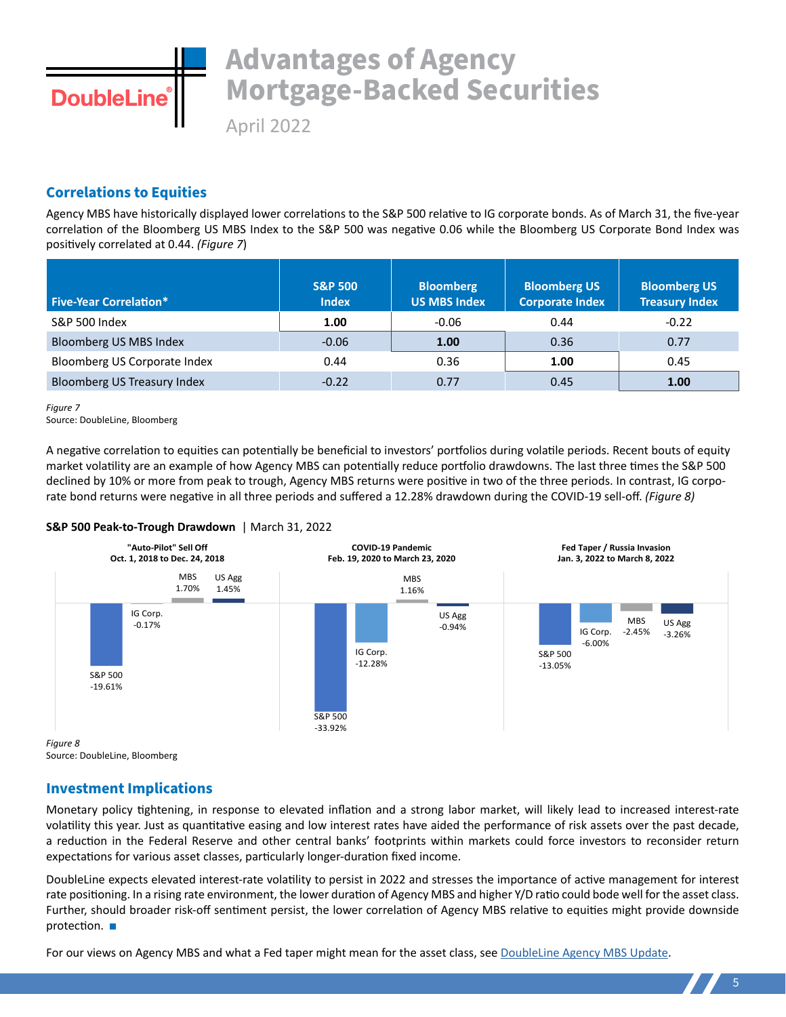

# **Advantages of Agency Mortgage-Backed Securities**

April 2022

### **Correlations to Equities**

Agency MBS have historically displayed lower correlations to the S&P 500 relative to IG corporate bonds. As of March 31, the five-year correlation of the Bloomberg US MBS Index to the S&P 500 was negative 0.06 while the Bloomberg US Corporate Bond Index was positively correlated at 0.44. *(Figure 7*)

| <b>Five-Year Correlation*</b>      | <b>S&amp;P 500</b><br><b>Index</b> | <b>Bloomberg</b><br><b>US MBS Index</b> | <b>Bloomberg US</b><br><b>Corporate Index</b> | <b>Bloomberg US</b><br><b>Treasury Index</b> |
|------------------------------------|------------------------------------|-----------------------------------------|-----------------------------------------------|----------------------------------------------|
| <b>S&amp;P 500 Index</b>           | 1.00                               | $-0.06$                                 | 0.44                                          | $-0.22$                                      |
| Bloomberg US MBS Index             | $-0.06$                            | 1.00                                    | 0.36                                          | 0.77                                         |
| Bloomberg US Corporate Index       | 0.44                               | 0.36                                    | 1.00                                          | 0.45                                         |
| <b>Bloomberg US Treasury Index</b> | $-0.22$                            | 0.77                                    | 0.45                                          | 1.00                                         |

*Figure 7*

Source: DoubleLine, Bloomberg

A negative correlation to equities can potentially be beneficial to investors' portfolios during volatile periods. Recent bouts of equity market volatility are an example of how Agency MBS can potentially reduce portfolio drawdowns. The last three times the S&P 500 declined by 10% or more from peak to trough, Agency MBS returns were positive in two of the three periods. In contrast, IG corporate bond returns were negative in all three periods and suffered a 12.28% drawdown during the COVID-19 sell-off. *(Figure 8)*

### **S&P 500 Peak-to-Trough Drawdown** | March 31, 2022



Source: DoubleLine, Bloomberg

### **Investment Implications**

Monetary policy tightening, in response to elevated inflation and a strong labor market, will likely lead to increased interest-rate volatility this year. Just as quantitative easing and low interest rates have aided the performance of risk assets over the past decade, a reduction in the Federal Reserve and other central banks' footprints within markets could force investors to reconsider return expectations for various asset classes, particularly longer-duration fixed income.

DoubleLine expects elevated interest-rate volatility to persist in 2022 and stresses the importance of active management for interest rate positioning. In a rising rate environment, the lower duration of Agency MBS and higher Y/D ratio could bode well for the asset class. Further, should broader risk-off sentiment persist, the lower correlation of Agency MBS relative to equities might provide downside protection.  $\blacksquare$ 

For our views on Agency MBS and what a Fed taper might mean for the asset class, see [DoubleLine Agency MBS Update.](https://doubleline.com/wp-content/uploads/Agency-MBS-Update-Feb-2022.pdf)